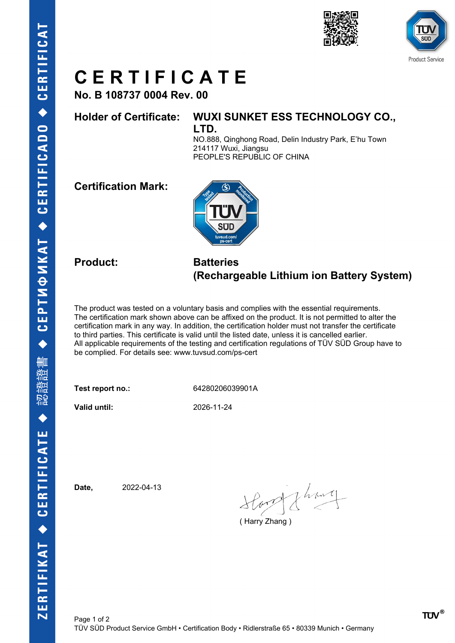



## **C E R T I F I C A T E**

**No. B 108737 0004 Rev. 00**

### **Holder of Certificate: WUXI SUNKET ESS TECHNOLOGY CO.,**

**LTD.**

NO.888, Qinghong Road, Delin Industry Park, E'hu Town 214117 Wuxi, Jiangsu PEOPLE'S REPUBLIC OF CHINA

**Certification Mark:**



### **Product: Batteries (Rechargeable Lithium ion Battery System)**

The product was tested on a voluntary basis and complies with the essential requirements. The certification mark shown above can be affixed on the product. It is not permitted to alter the certification mark in any way. In addition, the certification holder must not transfer the certificate to third parties. This certificate is valid until the listed date, unless it is cancelled earlier. All applicable requirements of the testing and certification regulations of TÜV SÜD Group have to be complied. For details see: www.tuvsud.com/ps-cert

**Test report no.:** 64280206039901A

**Valid until:** 2026-11-24

**Date,** 2022-04-13

Horald Lhoury

( Harry Zhang )